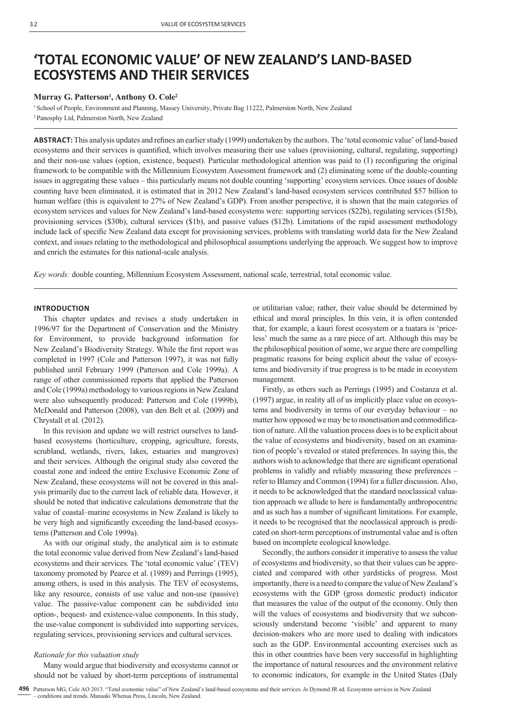# **'TOTAL ECONOMIC VALUE' OF NEW ZEALAND'S LAND-BASED ECOSYSTEMS AND THEIR SERVICES**

## Murray G. Patterson<sup>1</sup>, Anthony O. Cole<sup>2</sup>

1 School of People, Environment and Planning, Massey University, Private Bag 11222, Palmerston North, New Zealand 2 Panosphy Ltd, Palmerston North, New Zealand

**ABSTRACT:** This analysis updates and refines an earlier study (1999) undertaken by the authors. The 'total economic value' of land-based ecosystems and their services is quantified, which involves measuring their use values (provisioning, cultural, regulating, supporting) and their non-use values (option, existence, bequest). Particular methodological attention was paid to (1) reconfiguring the original framework to be compatible with the Millennium Ecosystem Assessment framework and (2) eliminating some of the double-counting issues in aggregating these values – this particularly means not double counting 'supporting' ecosystem services. Once issues of double counting have been eliminated, it is estimated that in 2012 New Zealand's land-based ecosystem services contributed \$57 billion to human welfare (this is equivalent to 27% of New Zealand's GDP). From another perspective, it is shown that the main categories of ecosystem services and values for New Zealand's land-based ecosystems were: supporting services (\$22b), regulating services (\$15b), provisioning services (\$30b), cultural services (\$1b), and passive values (\$12b). Limitations of the rapid assessment methodology include lack of specific New Zealand data except for provisioning services, problems with translating world data for the New Zealand context, and issues relating to the methodological and philosophical assumptions underlying the approach. We suggest how to improve and enrich the estimates for this national-scale analysis.

*Key words:* double counting, Millennium Ecosystem Assessment, national scale, terrestrial, total economic value.

#### **INTRODUCTION**

This chapter updates and revises a study undertaken in 1996/97 for the Department of Conservation and the Ministry for Environment, to provide background information for New Zealand's Biodiversity Strategy. While the first report was completed in 1997 (Cole and Patterson 1997), it was not fully published until February 1999 (Patterson and Cole 1999a). A range of other commissioned reports that applied the Patterson and Cole (1999a) methodology to various regions in New Zealand were also subsequently produced: Patterson and Cole (1999b), McDonald and Patterson (2008), van den Belt et al. (2009) and Chrystall et al. (2012).

In this revision and update we will restrict ourselves to landbased ecosystems (horticulture, cropping, agriculture, forests, scrubland, wetlands, rivers, lakes, estuaries and mangroves) and their services. Although the original study also covered the coastal zone and indeed the entire Exclusive Economic Zone of New Zealand, these ecosystems will not be covered in this analysis primarily due to the current lack of reliable data. However, it should be noted that indicative calculations demonstrate that the value of coastal–marine ecosystems in New Zealand is likely to be very high and significantly exceeding the land-based ecosystems (Patterson and Cole 1999a).

As with our original study, the analytical aim is to estimate the total economic value derived from New Zealand's land-based ecosystems and their services. The 'total economic value' (TEV) taxonomy promoted by Pearce et al. (1989) and Perrings (1995), among others, is used in this analysis. The TEV of ecosystems, like any resource, consists of use value and non-use (passive) value. The passive-value component can be subdivided into option-, bequest- and existence-value components. In this study, the use-value component is subdivided into supporting services, regulating services, provisioning services and cultural services.

# *Rationale for this valuation study*

Many would argue that biodiversity and ecosystems cannot or should not be valued by short-term perceptions of instrumental or utilitarian value; rather, their value should be determined by ethical and moral principles. In this vein, it is often contended that, for example, a kauri forest ecosystem or a tuatara is 'priceless' much the same as a rare piece of art. Although this may be the philosophical position of some, we argue there are compelling pragmatic reasons for being explicit about the value of ecosystems and biodiversity if true progress is to be made in ecosystem management.

Firstly, as others such as Perrings (1995) and Costanza et al. (1997) argue, in reality all of us implicitly place value on ecosystems and biodiversity in terms of our everyday behaviour – no matter how opposed we may be to monetisation and commodification of nature. All the valuation process does is to be explicit about the value of ecosystems and biodiversity, based on an examination of people's revealed or stated preferences. In saying this, the authors wish to acknowledge that there are significant operational problems in validly and reliably measuring these preferences – refer to Blamey and Common (1994) for a fuller discussion. Also, it needs to be acknowledged that the standard neoclassical valuation approach we allude to here is fundamentally anthropocentric and as such has a number of significant limitations. For example, it needs to be recognised that the neoclassical approach is predicated on short-term perceptions of instrumental value and is often based on incomplete ecological knowledge.

Secondly, the authors consider it imperative to assess the value of ecosystems and biodiversity, so that their values can be appreciated and compared with other yardsticks of progress. Most importantly, there is a need to compare the value of New Zealand's ecosystems with the GDP (gross domestic product) indicator that measures the value of the output of the economy. Only then will the values of ecosystems and biodiversity that we subconsciously understand become 'visible' and apparent to many decision-makers who are more used to dealing with indicators such as the GDP. Environmental accounting exercises such as this in other countries have been very successful in highlighting the importance of natural resources and the environment relative to economic indicators, for example in the United States (Daly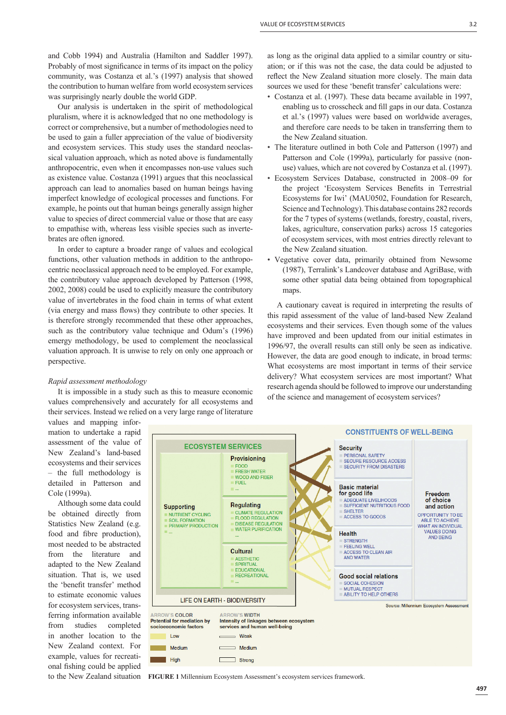and Cobb 1994) and Australia (Hamilton and Saddler 1997). Probably of most significance in terms of its impact on the policy community, was Costanza et al.'s (1997) analysis that showed the contribution to human welfare from world ecosystem services was surprisingly nearly double the world GDP.

Our analysis is undertaken in the spirit of methodological pluralism, where it is acknowledged that no one methodology is correct or comprehensive, but a number of methodologies need to be used to gain a fuller appreciation of the value of biodiversity and ecosystem services. This study uses the standard neoclassical valuation approach, which as noted above is fundamentally anthropocentric, even when it encompasses non-use values such as existence value. Costanza (1991) argues that this neoclassical approach can lead to anomalies based on human beings having imperfect knowledge of ecological processes and functions. For example, he points out that human beings generally assign higher value to species of direct commercial value or those that are easy to empathise with, whereas less visible species such as invertebrates are often ignored.

In order to capture a broader range of values and ecological functions, other valuation methods in addition to the anthropocentric neoclassical approach need to be employed. For example, the contributory value approach developed by Patterson (1998, 2002, 2008) could be used to explicitly measure the contributory value of invertebrates in the food chain in terms of what extent (via energy and mass flows) they contribute to other species. It is therefore strongly recommended that these other approaches, such as the contributory value technique and Odum's (1996) emergy methodology, be used to complement the neoclassical valuation approach. It is unwise to rely on only one approach or perspective.

#### *Rapid assessment methodology*

values and mapping infor-

example, values for recreational fishing could be applied to the New Zealand situation

It is impossible in a study such as this to measure economic values comprehensively and accurately for all ecosystems and their services. Instead we relied on a very large range of literature

High

as long as the original data applied to a similar country or situation; or if this was not the case, the data could be adjusted to reflect the New Zealand situation more closely. The main data sources we used for these 'benefit transfer' calculations were:

- Costanza et al. (1997). These data became available in 1997, enabling us to crosscheck and fill gaps in our data. Costanza et al.'s (1997) values were based on worldwide averages, and therefore care needs to be taken in transferring them to the New Zealand situation.
- The literature outlined in both Cole and Patterson (1997) and Patterson and Cole (1999a), particularly for passive (nonuse) values, which are not covered by Costanza et al. (1997).
- Ecosystem Services Database, constructed in 2008–09 for the project 'Ecosystem Services Benefits in Terrestrial Ecosystems for Iwi' (MAU0502, Foundation for Research, Science and Technology). This database contains 282 records for the 7 types of systems (wetlands, forestry, coastal, rivers, lakes, agriculture, conservation parks) across 15 categories of ecosystem services, with most entries directly relevant to the New Zealand situation.
- Vegetative cover data, primarily obtained from Newsome (1987), Terralink's Landcover database and AgriBase, with some other spatial data being obtained from topographical maps.

A cautionary caveat is required in interpreting the results of this rapid assessment of the value of land-based New Zealand ecosystems and their services. Even though some of the values have improved and been updated from our initial estimates in 1996/97, the overall results can still only be seen as indicative. However, the data are good enough to indicate, in broad terms: What ecosystems are most important in terms of their service delivery? What ecosystem services are most important? What research agenda should be followed to improve our understanding of the science and management of ecosystem services?

**CONSTITUENTS OF WELL-BEING** mation to undertake a rapid assessment of the value of **ECOSYSTEM SERVICES Security** New Zealand's land-based PERSONAL SAFETY Provisioning SECURE RESOURCE ACCESS ecosystems and their services FOOD **SECURITY FROM DISASTERS** FRESH WATER – the full methodology is WOOD AND FIBER detailed in Patterson and **FUEL Basic material** Cole (1999a). for good life ADEQUATE LIVELIHOODS<br>SUFFICIENT NUTRITIOUS FOOD Although some data could **Regulating Supporting CLIMATE REGULATION<br>FLOOD REGULATION SHELTER** be obtained directly from NUTRIENT CYCLING<br>SOIL FORMATION ACCESS TO GOODS Statistics New Zealand (e.g. **DISEASE REGULATION** PRIMARY PRODUCTION WATER PURIFICATION food and fibre production), **Health** STRENGTH<br>FEELING WELL most needed to be abstracted **Cultural** ACCESS TO CLEAN AIR from the literature and AND WATER AESTHETIC adapted to the New Zealand **SPIRITUAL** EDUCATIONAL situation. That is, we used RECREATIONAL **Good social relations SOCIAL COHESION** the 'benefit transfer' method MUTUAL RESPECT<br>ABILITY TO HELP OTHERS to estimate economic values **LIFE ON EARTH - BIODIVERSITY** for ecosystem services, trans-ARROW'S COLOR ferring information available **ARROW'S WIDTH Potential for mediation by** Intensity of linkages between ecosystem from studies completed services and human well-being economic factors in another location to the  $Infty$ Weak New Zealand context. For Medium Medium

**FIGURE 1** Millennium Ecosystem Assessment's ecosystem services framework.

 $\Box$  Strong

С

Freedom

of choice

and action

OPPORTUNITY TO BE

**ABLE TO ACHIEVE** 

**WHAT AN INDIVIDUAL** 

**VALUES DOING** 

AND REING

Source: Millennium Ecosystem Assessment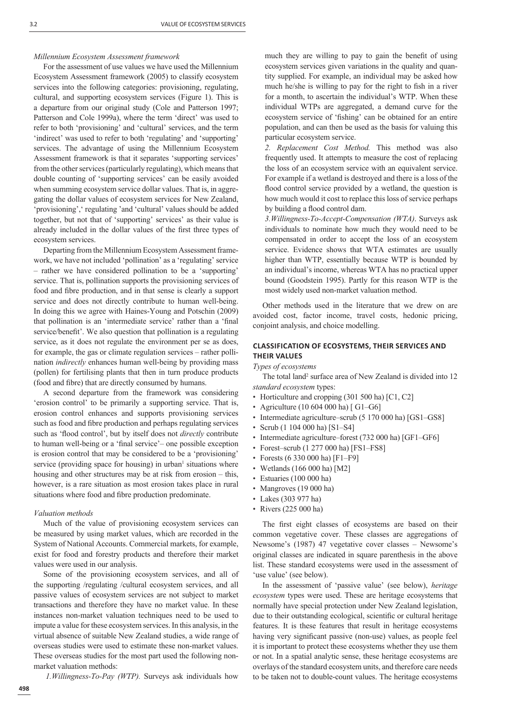### *Millennium Ecosystem Assessment framework*

For the assessment of use values we have used the Millennium Ecosystem Assessment framework (2005) to classify ecosystem services into the following categories: provisioning, regulating, cultural, and supporting ecosystem services (Figure 1). This is a departure from our original study (Cole and Patterson 1997; Patterson and Cole 1999a), where the term 'direct' was used to refer to both 'provisioning' and 'cultural' services, and the term 'indirect' was used to refer to both 'regulating' and 'supporting' services. The advantage of using the Millennium Ecosystem Assessment framework is that it separates 'supporting services' from the other services (particularly regulating), which means that double counting of 'supporting services' can be easily avoided when summing ecosystem service dollar values. That is, in aggregating the dollar values of ecosystem services for New Zealand, 'provisioning', 'regulating 'and 'cultural' values should be added together, but not that of 'supporting' services' as their value is already included in the dollar values of the first three types of ecosystem services.

Departing from the Millennium Ecosystem Assessment framework, we have not included 'pollination' as a 'regulating' service – rather we have considered pollination to be a 'supporting' service. That is, pollination supports the provisioning services of food and fibre production, and in that sense is clearly a support service and does not directly contribute to human well-being. In doing this we agree with Haines-Young and Potschin (2009) that pollination is an 'intermediate service' rather than a 'final service/benefit'. We also question that pollination is a regulating service, as it does not regulate the environment per se as does, for example, the gas or climate regulation services – rather pollination *indirectly* enhances human well-being by providing mass (pollen) for fertilising plants that then in turn produce products (food and fibre) that are directly consumed by humans.

A second departure from the framework was considering 'erosion control' to be primarily a supporting service. That is, erosion control enhances and supports provisioning services such as food and fibre production and perhaps regulating services such as 'flood control', but by itself does not *directly* contribute to human well-being or a 'final service'– one possible exception is erosion control that may be considered to be a 'provisioning' service (providing space for housing) in urban<sup>1</sup> situations where housing and other structures may be at risk from erosion – this, however, is a rare situation as most erosion takes place in rural situations where food and fibre production predominate.

#### *Valuation methods*

Much of the value of provisioning ecosystem services can be measured by using market values, which are recorded in the System of National Accounts. Commercial markets, for example, exist for food and forestry products and therefore their market values were used in our analysis.

Some of the provisioning ecosystem services, and all of the supporting /regulating /cultural ecosystem services, and all passive values of ecosystem services are not subject to market transactions and therefore they have no market value. In these instances non-market valuation techniques need to be used to impute a value for these ecosystem services. In this analysis, in the virtual absence of suitable New Zealand studies, a wide range of overseas studies were used to estimate these non-market values. These overseas studies for the most part used the following nonmarket valuation methods:

*1.Willingness-To-Pay (WTP).* Surveys ask individuals how

much they are willing to pay to gain the benefit of using ecosystem services given variations in the quality and quantity supplied. For example, an individual may be asked how much he/she is willing to pay for the right to fish in a river for a month, to ascertain the individual's WTP. When these individual WTPs are aggregated, a demand curve for the ecosystem service of 'fishing' can be obtained for an entire population, and can then be used as the basis for valuing this particular ecosystem service.

*2. Replacement Cost Method.* This method was also frequently used. It attempts to measure the cost of replacing the loss of an ecosystem service with an equivalent service. For example if a wetland is destroyed and there is a loss of the flood control service provided by a wetland, the question is how much would it cost to replace this loss of service perhaps by building a flood control dam.

*3.Willingness-To-Accept-Compensation (WTA)*. Surveys ask individuals to nominate how much they would need to be compensated in order to accept the loss of an ecosystem service. Evidence shows that WTA estimates are usually higher than WTP, essentially because WTP is bounded by an individual's income, whereas WTA has no practical upper bound (Goodstein 1995). Partly for this reason WTP is the most widely used non-market valuation method.

Other methods used in the literature that we drew on are avoided cost, factor income, travel costs, hedonic pricing, conjoint analysis, and choice modelling.

## **CLASSIFICATION OF ECOSYSTEMS, THEIR SERVICES AND THEIR VALUES**

*Types of ecosystems*

The total land<sup>2</sup> surface area of New Zealand is divided into 12 *standard ecosystem* types:

- Horticulture and cropping (301 500 ha) [C1, C2]
- Agriculture (10 604 000 ha) [ G1-G6]
- Intermediate agriculture–scrub (5 170 000 ha) [GS1–GS8]
- Scrub (1 104 000 ha) [S1–S4]
- Intermediate agriculture–forest (732 000 ha) [GF1–GF6]
- Forest–scrub (1 277 000 ha) [FS1–FS8]
- Forests (6 330 000 ha) [F1–F9]
- Wetlands (166 000 ha) [M2]
- Estuaries (100 000 ha)
- Mangroves (19 000 ha)
- Lakes (303 977 ha)
- Rivers (225 000 ha)

The first eight classes of ecosystems are based on their common vegetative cover. These classes are aggregations of Newsome's (1987) 47 vegetative cover classes – Newsome's original classes are indicated in square parenthesis in the above list. These standard ecosystems were used in the assessment of 'use value' (see below).

In the assessment of 'passive value' (see below), *heritage ecosystem* types were used. These are heritage ecosystems that normally have special protection under New Zealand legislation, due to their outstanding ecological, scientific or cultural heritage features. It is these features that result in heritage ecosystems having very significant passive (non-use) values, as people feel it is important to protect these ecosystems whether they use them or not. In a spatial analytic sense, these heritage ecosystems are overlays of the standard ecosystem units, and therefore care needs to be taken not to double-count values. The heritage ecosystems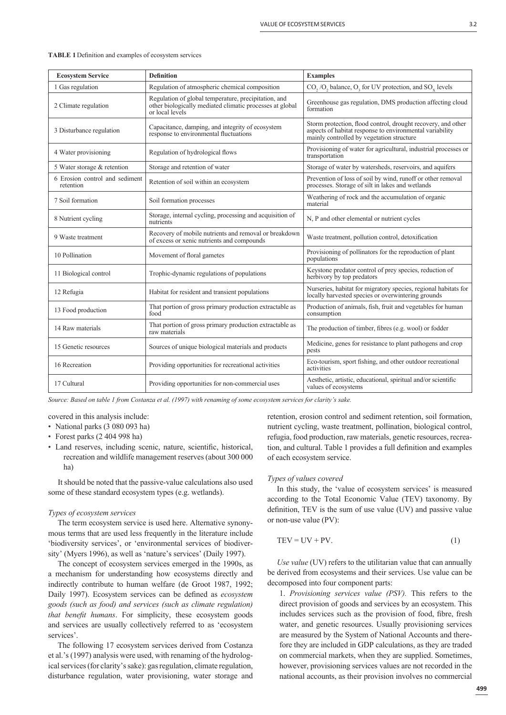| <b>Ecosystem Service</b>                    | <b>Definition</b>                                                                                                                   | <b>Examples</b>                                                                                                                                                       |
|---------------------------------------------|-------------------------------------------------------------------------------------------------------------------------------------|-----------------------------------------------------------------------------------------------------------------------------------------------------------------------|
| 1 Gas regulation                            | Regulation of atmospheric chemical composition                                                                                      | $CO$ , /O, balance, O, for UV protection, and $SOv$ levels                                                                                                            |
| 2 Climate regulation                        | Regulation of global temperature, precipitation, and<br>other biologically mediated climatic processes at global<br>or local levels | Greenhouse gas regulation, DMS production affecting cloud<br>formation                                                                                                |
| 3 Disturbance regulation                    | Capacitance, damping, and integrity of ecosystem<br>response to environmental fluctuations                                          | Storm protection, flood control, drought recovery, and other<br>aspects of habitat response to environmental variability<br>mainly controlled by vegetation structure |
| 4 Water provisioning                        | Regulation of hydrological flows                                                                                                    | Provisioning of water for agricultural, industrial processes or<br>transportation                                                                                     |
| 5 Water storage & retention                 | Storage and retention of water                                                                                                      | Storage of water by watersheds, reservoirs, and aquifers                                                                                                              |
| 6 Erosion control and sediment<br>retention | Retention of soil within an ecosystem                                                                                               | Prevention of loss of soil by wind, runoff or other removal<br>processes. Storage of silt in lakes and wetlands                                                       |
| 7 Soil formation                            | Soil formation processes                                                                                                            | Weathering of rock and the accumulation of organic<br>material                                                                                                        |
| 8 Nutrient cycling                          | Storage, internal cycling, processing and acquisition of<br>nutrients                                                               | N, P and other elemental or nutrient cycles                                                                                                                           |
| 9 Waste treatment                           | Recovery of mobile nutrients and removal or breakdown<br>of excess or xenic nutrients and compounds                                 | Waste treatment, pollution control, detoxification                                                                                                                    |
| 10 Pollination                              | Movement of floral gametes                                                                                                          | Provisioning of pollinators for the reproduction of plant<br>populations                                                                                              |
| 11 Biological control                       | Trophic-dynamic regulations of populations                                                                                          | Keystone predator control of prey species, reduction of<br>herbivory by top predators                                                                                 |
| 12 Refugia                                  | Habitat for resident and transient populations                                                                                      | Nurseries, habitat for migratory species, regional habitats for<br>locally harvested species or overwintering grounds                                                 |
| 13 Food production                          | That portion of gross primary production extractable as<br>food                                                                     | Production of animals, fish, fruit and vegetables for human<br>consumption                                                                                            |
| 14 Raw materials                            | That portion of gross primary production extractable as<br>raw materials                                                            | The production of timber, fibres (e.g. wool) or fodder                                                                                                                |
| 15 Genetic resources                        | Sources of unique biological materials and products                                                                                 | Medicine, genes for resistance to plant pathogens and crop<br>pests                                                                                                   |
| 16 Recreation                               | Providing opportunities for recreational activities                                                                                 | Eco-tourism, sport fishing, and other outdoor recreational<br>activities                                                                                              |
| 17 Cultural                                 | Providing opportunities for non-commercial uses                                                                                     | Aesthetic, artistic, educational, spiritual and/or scientific<br>values of ecosystems                                                                                 |

| <b>TABLE 1</b> Definition and examples of ecosystem services |  |  |  |
|--------------------------------------------------------------|--|--|--|
|                                                              |  |  |  |

*Source: Based on table 1 from Costanza et al. (1997) with renaming of some ecosystem services for clarity's sake.*

- covered in this analysis include:
- National parks (3 080 093 ha)
- Forest parks (2 404 998 ha)
- Land reserves, including scenic, nature, scientific, historical, recreation and wildlife management reserves (about 300 000 ha)

It should be noted that the passive-value calculations also used some of these standard ecosystem types (e.g. wetlands).

#### *Types of ecosystem services*

The term ecosystem service is used here. Alternative synonymous terms that are used less frequently in the literature include 'biodiversity services', or 'environmental services of biodiversity' (Myers 1996), as well as 'nature's services' (Daily 1997).

The concept of ecosystem services emerged in the 1990s, as a mechanism for understanding how ecosystems directly and indirectly contribute to human welfare (de Groot 1987, 1992; Daily 1997). Ecosystem services can be defined as *ecosystem goods (such as food) and services (such as climate regulation) that benefit humans*. For simplicity, these ecosystem goods and services are usually collectively referred to as 'ecosystem services'.

The following 17 ecosystem services derived from Costanza et al.'s (1997) analysis were used, with renaming of the hydrological services (for clarity's sake): gas regulation, climate regulation, disturbance regulation, water provisioning, water storage and retention, erosion control and sediment retention, soil formation, nutrient cycling, waste treatment, pollination, biological control, refugia, food production, raw materials, genetic resources, recreation, and cultural. Table 1 provides a full definition and examples of each ecosystem service.

#### *Types of values covered*

In this study, the 'value of ecosystem services' is measured according to the Total Economic Value (TEV) taxonomy. By definition,  $TEV$  is the sum of use value  $(UV)$  and passive value or non-use value (PV):

$$
TEV = UV + PV.
$$
 (1)

*Use value* (UV) refers to the utilitarian value that can annually be derived from ecosystems and their services. Use value can be decomposed into four component parts:

1. *Provisioning services value (PSV).* This refers to the direct provision of goods and services by an ecosystem. This includes services such as the provision of food, fibre, fresh water, and genetic resources. Usually provisioning services are measured by the System of National Accounts and therefore they are included in GDP calculations, as they are traded on commercial markets, when they are supplied. Sometimes, however, provisioning services values are not recorded in the national accounts, as their provision involves no commercial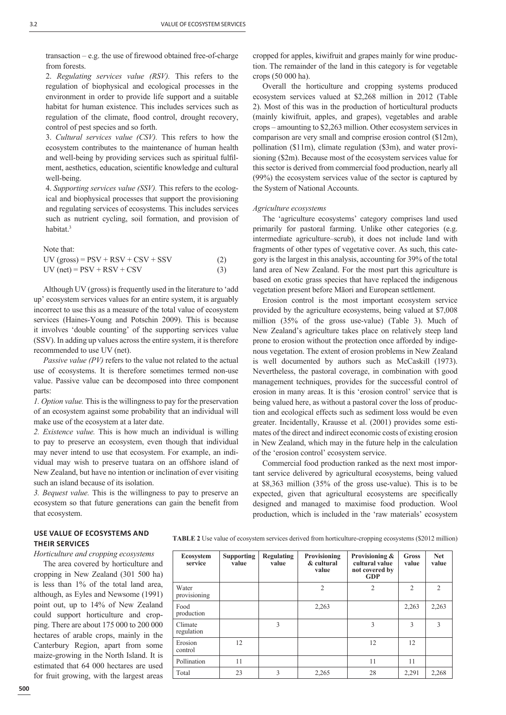$transaction - e.g.$  the use of firewood obtained free-of-charge from forests.

2. *Regulating services value (RSV).* This refers to the regulation of biophysical and ecological processes in the environment in order to provide life support and a suitable habitat for human existence. This includes services such as regulation of the climate, flood control, drought recovery, control of pest species and so forth.

3. *Cultural services value (CSV).* This refers to how the ecosystem contributes to the maintenance of human health and well-being by providing services such as spiritual fulfilment, aesthetics, education, scientific knowledge and cultural well-being.

4. *Supporting services value (SSV).* This refers to the ecological and biophysical processes that support the provisioning and regulating services of ecosystems. This includes services such as nutrient cycling, soil formation, and provision of habitat<sup>3</sup>

Note that:

| $UV (gross) = PSV + RSV + CSV + SSV$ | (2) |
|--------------------------------------|-----|
| $UV$ (net) = PSV + RSV + CSV         |     |

Although UV (gross) is frequently used in the literature to 'add up' ecosystem services values for an entire system, it is arguably incorrect to use this as a measure of the total value of ecosystem services (Haines-Young and Potschin 2009). This is because it involves 'double counting' of the supporting services value (SSV). In adding up values across the entire system, it is therefore recommended to use UV (net).

*Passive value (PV)* refers to the value not related to the actual use of ecosystems. It is therefore sometimes termed non-use value. Passive value can be decomposed into three component parts:

*1. Option value.* This is the willingness to pay for the preservation of an ecosystem against some probability that an individual will make use of the ecosystem at a later date.

*2. Existence value.* This is how much an individual is willing to pay to preserve an ecosystem, even though that individual may never intend to use that ecosystem. For example, an individual may wish to preserve tuatara on an offshore island of New Zealand, but have no intention or inclination of ever visiting such an island because of its isolation.

*3. Bequest value.* This is the willingness to pay to preserve an ecosystem so that future generations can gain the benefit from that ecosystem.

cropped for apples, kiwifruit and grapes mainly for wine production. The remainder of the land in this category is for vegetable crops (50 000 ha).

Overall the horticulture and cropping systems produced ecosystem services valued at \$2,268 million in 2012 (Table 2). Most of this was in the production of horticultural products (mainly kiwifruit, apples, and grapes), vegetables and arable crops – amounting to \$2,263 million. Other ecosystem services in comparison are very small and comprise erosion control (\$12m), pollination (\$11m), climate regulation (\$3m), and water provisioning (\$2m). Because most of the ecosystem services value for this sector is derived from commercial food production, nearly all (99%) the ecosystem services value of the sector is captured by the System of National Accounts.

#### *Agriculture ecosystems*

The 'agriculture ecosystems' category comprises land used primarily for pastoral farming. Unlike other categories (e.g. intermediate agriculture–scrub), it does not include land with fragments of other types of vegetative cover. As such, this category is the largest in this analysis, accounting for 39% of the total land area of New Zealand. For the most part this agriculture is based on exotic grass species that have replaced the indigenous vegetation present before Māori and European settlement.

Erosion control is the most important ecosystem service provided by the agriculture ecosystems, being valued at \$7,008 million (35% of the gross use-value) (Table 3). Much of New Zealand's agriculture takes place on relatively steep land prone to erosion without the protection once afforded by indigenous vegetation. The extent of erosion problems in New Zealand is well documented by authors such as McCaskill (1973). Nevertheless, the pastoral coverage, in combination with good management techniques, provides for the successful control of erosion in many areas. It is this 'erosion control' service that is being valued here, as without a pastoral cover the loss of production and ecological effects such as sediment loss would be even greater. Incidentally, Krausse et al. (2001) provides some estimates of the direct and indirect economic costs of existing erosion in New Zealand, which may in the future help in the calculation of the 'erosion control' ecosystem service.

Commercial food production ranked as the next most important service delivered by agricultural ecosystems, being valued at \$8,363 million (35% of the gross use-value). This is to be expected, given that agricultural ecosystems are specifically designed and managed to maximise food production. Wool production, which is included in the 'raw materials' ecosystem

# **USE VALUE OF ECOSYSTEMS AND THEIR SERVICES**  *Horticulture and cropping ecosystems*

The area covered by horticulture and cropping in New Zealand (301 500 ha) is less than 1% of the total land area, although, as Eyles and Newsome (1991) point out, up to 14% of New Zealand could support horticulture and cropping. There are about 175 000 to 200 000 hectares of arable crops, mainly in the Canterbury Region, apart from some maize-growing in the North Island. It is estimated that 64 000 hectares are used for fruit growing, with the largest areas **TABLE 2** Use value of ecosystem services derived from horticulture-cropping ecosystems (\$2012 million)

| <b>Ecosystem</b><br>service | <b>Supporting</b><br>value | <b>Regulating</b><br>value | Provisioning<br>& cultural<br>value | Provisioning &<br>cultural value<br>not covered by<br>GDP | Gross<br>value | <b>Net</b><br>value |
|-----------------------------|----------------------------|----------------------------|-------------------------------------|-----------------------------------------------------------|----------------|---------------------|
| Water<br>provisioning       |                            |                            | $\overline{2}$                      | $\overline{2}$                                            | $\overline{2}$ | $\overline{2}$      |
| Food<br>production          |                            |                            | 2,263                               |                                                           | 2,263          | 2,263               |
| Climate<br>regulation       |                            | 3                          |                                     | 3                                                         | 3              | 3                   |
| Erosion<br>control          | 12                         |                            |                                     | 12                                                        | 12             |                     |
| Pollination                 | 11                         |                            |                                     | 11                                                        | 11             |                     |
| Total                       | 23                         | 3                          | 2,265                               | 28                                                        | 2,291          | 2,268               |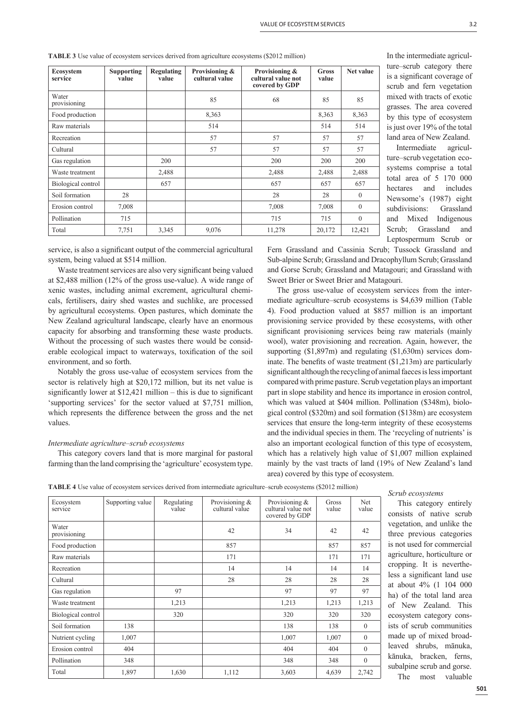| <b>Ecosystem</b><br>service | <b>Supporting</b><br>value | <b>Regulating</b><br>value | Provisioning &<br>cultural value | Provisioning &<br>cultural value not<br>covered by GDP | Gross<br>value | Net value    |
|-----------------------------|----------------------------|----------------------------|----------------------------------|--------------------------------------------------------|----------------|--------------|
| Water<br>provisioning       |                            |                            | 85                               | 68                                                     | 85             | 85           |
| Food production             |                            |                            | 8,363                            |                                                        | 8,363          | 8,363        |
| Raw materials               |                            |                            | 514                              |                                                        | 514            | 514          |
| Recreation                  |                            |                            | 57                               | 57                                                     | 57             | 57           |
| Cultural                    |                            |                            | 57                               | 57                                                     | 57             | 57           |
| Gas regulation              |                            | 200                        |                                  | 200                                                    | 200            | 200          |
| Waste treatment             |                            | 2,488                      |                                  | 2,488                                                  | 2,488          | 2,488        |
| Biological control          |                            | 657                        |                                  | 657                                                    | 657            | 657          |
| Soil formation              | 28                         |                            |                                  | 28                                                     | 28             | $\mathbf{0}$ |
| Erosion control             | 7,008                      |                            |                                  | 7,008                                                  | 7,008          | $\theta$     |
| Pollination                 | 715                        |                            |                                  | 715                                                    | 715            | $\Omega$     |
| Total                       | 7,751                      | 3,345                      | 9,076                            | 11,278                                                 | 20,172         | 12,421       |

**TABLE 3** Use value of ecosystem services derived from agriculture ecosystems (\$2012 million)

service, is also a significant output of the commercial agricultural system, being valued at \$514 million.

Waste treatment services are also very significant being valued at \$2,488 million (12% of the gross use-value). A wide range of xenic wastes, including animal excrement, agricultural chemicals, fertilisers, dairy shed wastes and suchlike, are processed by agricultural ecosystems. Open pastures, which dominate the New Zealand agricultural landscape, clearly have an enormous capacity for absorbing and transforming these waste products. Without the processing of such wastes there would be considerable ecological impact to waterways, toxification of the soil environment, and so forth.

Notably the gross use-value of ecosystem services from the sector is relatively high at \$20,172 million, but its net value is significantly lower at  $$12,421$  million – this is due to significant 'supporting services' for the sector valued at \$7,751 million, which represents the difference between the gross and the net values.

## *Intermediate agriculture–scrub ecosystems*

This category covers land that is more marginal for pastoral farming than the land comprising the 'agriculture' ecosystem type. In the intermediate agriculture–scrub category there is a significant coverage of scrub and fern vegetation mixed with tracts of exotic grasses. The area covered by this type of ecosystem is just over 19% of the total land area of New Zealand.

Intermediate agriculture–scrub vegetation ecosystems comprise a total total area of 5 170 000 hectares and includes Newsome's (1987) eight subdivisions: Grassland and Mixed Indigenous Scrub; Grassland and Leptospermum Scrub or

Fern Grassland and Cassinia Scrub; Tussock Grassland and Sub-alpine Scrub; Grassland and Dracophyllum Scrub; Grassland and Gorse Scrub; Grassland and Matagouri; and Grassland with Sweet Brier or Sweet Brier and Matagouri.

The gross use-value of ecosystem services from the intermediate agriculture–scrub ecosystems is \$4,639 million (Table 4). Food production valued at \$857 million is an important provisioning service provided by these ecosystems, with other significant provisioning services being raw materials (mainly wool), water provisioning and recreation. Again, however, the supporting (\$1,897m) and regulating (\$1,630m) services dominate. The benefits of waste treatment  $(\$1,213m)$  are particularly significant although the recycling of animal faeces is less important compared with prime pasture. Scrub vegetation plays an important part in slope stability and hence its importance in erosion control, which was valued at \$404 million. Pollination (\$348m), biological control (\$320m) and soil formation (\$138m) are ecosystem services that ensure the long-term integrity of these ecosystems and the individual species in them. The 'recycling of nutrients' is also an important ecological function of this type of ecosystem, which has a relatively high value of \$1,007 million explained mainly by the vast tracts of land (19% of New Zealand's land area) covered by this type of ecosystem.

| TABLE 4 Use value of ecosystem services derived from intermediate agriculture–scrub ecosystems (\$2012 million) |  |
|-----------------------------------------------------------------------------------------------------------------|--|
|                                                                                                                 |  |

| Ecosystem<br>service  | Supporting value | Regulating<br>value | Provisioning &<br>cultural value | Provisioning &<br>cultural value not<br>covered by GDP | Gross<br>value | <b>Net</b><br>value |
|-----------------------|------------------|---------------------|----------------------------------|--------------------------------------------------------|----------------|---------------------|
| Water<br>provisioning |                  |                     | 42                               | 34                                                     | 42             | 42                  |
| Food production       |                  |                     | 857                              |                                                        | 857            | 857                 |
| Raw materials         |                  |                     | 171                              |                                                        | 171            | 171                 |
| Recreation            |                  |                     | 14                               | 14                                                     | 14             | 14                  |
| Cultural              |                  |                     | 28                               | 28                                                     | 28             | 28                  |
| Gas regulation        |                  | 97                  |                                  | 97                                                     | 97             | 97                  |
| Waste treatment       |                  | 1,213               |                                  | 1,213                                                  | 1,213          | 1,213               |
| Biological control    |                  | 320                 |                                  | 320                                                    | 320            | 320                 |
| Soil formation        | 138              |                     |                                  | 138                                                    | 138            | $\theta$            |
| Nutrient cycling      | 1,007            |                     |                                  | 1,007                                                  | 1,007          | $\theta$            |
| Erosion control       | 404              |                     |                                  | 404                                                    | 404            | $\Omega$            |
| Pollination           | 348              |                     |                                  | 348                                                    | 348            | $\theta$            |
| Total                 | 1,897            | 1,630               | 1,112                            | 3,603                                                  | 4,639          | 2,742               |

## *Scrub ecosystems*

This category entirely consists of native scrub vegetation, and unlike the three previous categories is not used for commercial agriculture, horticulture or cropping. It is nevertheless a significant land use at about 4% (1 104 000 ha) of the total land area of New Zealand. This ecosystem category consists of scrub communities made up of mixed broadleaved shrubs, mānuka, kānuka, bracken, ferns, subalpine scrub and gorse. The most valuable

**501**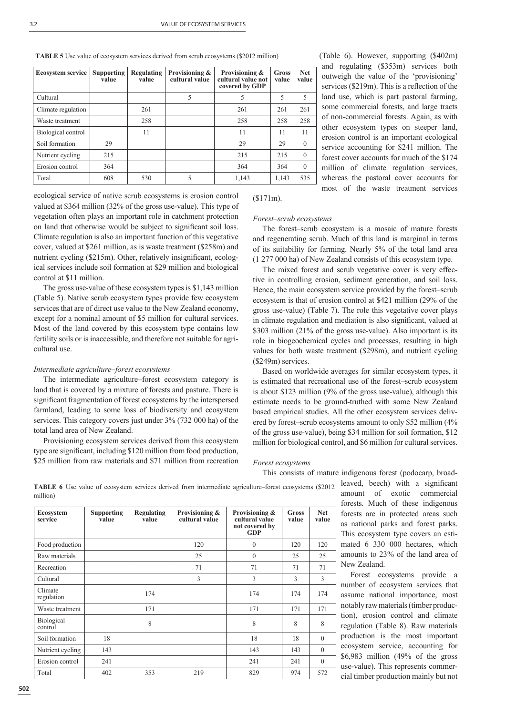**TABLE 5** Use value of ecosystem services derived from scrub ecosystems (\$2012 million)

| <b>Ecosystem service</b> | Supporting<br>value | Regulating<br>value | Provisioning &<br>cultural value | Provisioning &<br>cultural value not<br>covered by GDP | Gross<br>value | <b>Net</b><br>value |
|--------------------------|---------------------|---------------------|----------------------------------|--------------------------------------------------------|----------------|---------------------|
| Cultural                 |                     |                     | 5                                | 5                                                      | 5              | 5                   |
| Climate regulation       |                     | 261                 |                                  | 261                                                    | 261            | 261                 |
| Waste treatment          |                     | 258                 |                                  | 258                                                    | 258            | 258                 |
| Biological control       |                     | 11                  |                                  | 11                                                     | 11             | 11                  |
| Soil formation           | 29                  |                     |                                  | 29                                                     | 29             | $\Omega$            |
| Nutrient cycling         | 215                 |                     |                                  | 215                                                    | 215            | $\Omega$            |
| Erosion control          | 364                 |                     |                                  | 364                                                    | 364            | $\Omega$            |
| Total                    | 608                 | 530                 | 5                                | 1,143                                                  | 1,143          | 535                 |

ecological service of native scrub ecosystems is erosion control valued at \$364 million (32% of the gross use-value). This type of vegetation often plays an important role in catchment protection on land that otherwise would be subject to significant soil loss. Climate regulation is also an important function of this vegetative cover, valued at \$261 million, as is waste treatment (\$258m) and nutrient cycling  $(S215m)$ . Other, relatively insignificant, ecological services include soil formation at \$29 million and biological control at \$11 million.

The gross use-value of these ecosystem types is \$1,143 million (Table 5). Native scrub ecosystem types provide few ecosystem services that are of direct use value to the New Zealand economy, except for a nominal amount of \$5 million for cultural services. Most of the land covered by this ecosystem type contains low fertility soils or is inaccessible, and therefore not suitable for agricultural use.

## *Intermediate agriculture–forest ecosystems*

The intermediate agriculture–forest ecosystem category is land that is covered by a mixture of forests and pasture. There is significant fragmentation of forest ecosystems by the interspersed farmland, leading to some loss of biodiversity and ecosystem services. This category covers just under 3% (732 000 ha) of the total land area of New Zealand.

Provisioning ecosystem services derived from this ecosystem type are significant, including \$120 million from food production, \$25 million from raw materials and \$71 million from recreation (Table 6). However, supporting (\$402m) and regulating (\$353m) services both outweigh the value of the 'provisioning' services (\$219m). This is a reflection of the land use, which is part pastoral farming, some commercial forests, and large tracts of non-commercial forests. Again, as with other ecosystem types on steeper land, erosion control is an important ecological service accounting for \$241 million. The forest cover accounts for much of the \$174 million of climate regulation services, whereas the pastoral cover accounts for most of the waste treatment services

(\$171m).

## *Forest–scrub ecosystems*

The forest–scrub ecosystem is a mosaic of mature forests and regenerating scrub. Much of this land is marginal in terms of its suitability for farming. Nearly 5% of the total land area (1 277 000 ha) of New Zealand consists of this ecosystem type.

The mixed forest and scrub vegetative cover is very effective in controlling erosion, sediment generation, and soil loss. Hence, the main ecosystem service provided by the forest–scrub ecosystem is that of erosion control at \$421 million (29% of the gross use-value) (Table 7). The role this vegetative cover plays in climate regulation and mediation is also significant, valued at \$303 million (21% of the gross use-value). Also important is its role in biogeochemical cycles and processes, resulting in high values for both waste treatment (\$298m), and nutrient cycling (\$249m) services.

Based on worldwide averages for similar ecosystem types, it is estimated that recreational use of the forest–scrub ecosystem is about \$123 million (9% of the gross use-value), although this estimate needs to be ground-truthed with some New Zealand based empirical studies. All the other ecosystem services delivered by forest–scrub ecosystems amount to only \$52 million (4% of the gross use-value), being \$34 million for soil formation, \$12 million for biological control, and \$6 million for cultural services.

## *Forest ecosystems*

This consists of mature indigenous forest (podocarp, broad-

| Ecosystem<br>service         | <b>Supporting</b><br>value | Regulating<br>value | Provisioning &<br>cultural value | Provisioning &<br>cultural value<br>not covered by<br><b>GDP</b> | <b>Gross</b><br>value | <b>Net</b><br>value |
|------------------------------|----------------------------|---------------------|----------------------------------|------------------------------------------------------------------|-----------------------|---------------------|
| Food production              |                            |                     | 120                              | $\theta$                                                         | 120                   | 120                 |
| Raw materials                |                            |                     | 25                               | $\theta$                                                         | 25                    | 25                  |
| Recreation                   |                            |                     | 71                               | 71                                                               | 71                    | 71                  |
| Cultural                     |                            |                     | 3                                | 3                                                                | 3                     | 3                   |
| Climate<br>regulation        |                            | 174                 |                                  | 174                                                              | 174                   | 174                 |
| Waste treatment              |                            | 171                 |                                  | 171                                                              | 171                   | 171                 |
| <b>Biological</b><br>control |                            | 8                   |                                  | 8                                                                | 8                     | 8                   |
| Soil formation               | 18                         |                     |                                  | 18                                                               | 18                    | $\mathbf{0}$        |
| Nutrient cycling             | 143                        |                     |                                  | 143                                                              | 143                   | $\theta$            |
| Erosion control              | 241                        |                     |                                  | 241                                                              | 241                   | $\mathbf{0}$        |
| Total                        | 402                        | 353                 | 219                              | 829                                                              | 974                   | 572                 |

**TABLE 6** Use value of ecosystem services derived from intermediate agriculture–forest ecosystems (\$2012 million)

leaved, beech) with a significant amount of exotic commercial forests. Much of these indigenous forests are in protected areas such as national parks and forest parks. This ecosystem type covers an estimated 6 330 000 hectares, which amounts to 23% of the land area of New Zealand.

Forest ecosystems provide a number of ecosystem services that assume national importance, most notably raw materials (timber production), erosion control and climate regulation (Table 8). Raw materials production is the most important ecosystem service, accounting for \$6,983 million (49% of the gross use-value). This represents commercial timber production mainly but not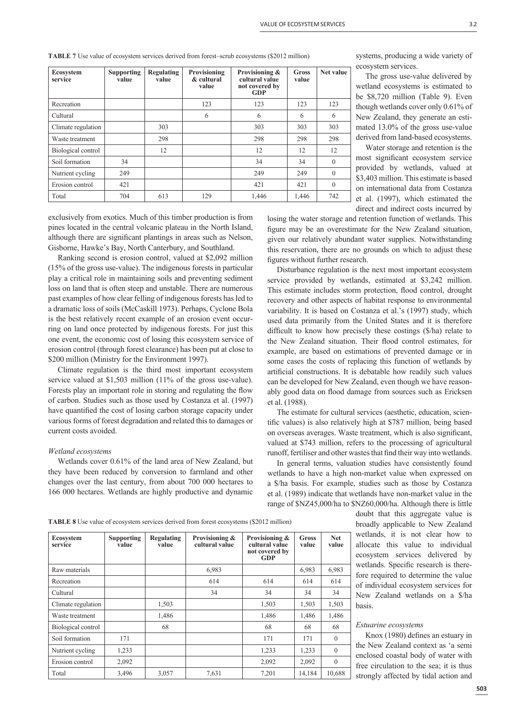| <b>Ecosystem</b><br>service | <b>Supporting</b><br>value | <b>Regulating</b><br>value | Provisioning<br>& cultural<br>value | Provisioning &<br>cultural value<br>not covered by<br><b>GDP</b> | Gross<br>value | Net value    |
|-----------------------------|----------------------------|----------------------------|-------------------------------------|------------------------------------------------------------------|----------------|--------------|
| Recreation                  |                            |                            | 123                                 | 123                                                              | 123            | 123          |
| Cultural                    |                            |                            | 6                                   | 6                                                                | 6              | 6            |
| Climate regulation          |                            | 303                        |                                     | 303                                                              | 303            | 303          |
| Waste treatment             |                            | 298                        |                                     | 298                                                              | 298            | 298          |
| Biological control          |                            | 12                         |                                     | 12                                                               | 12             | 12           |
| Soil formation              | 34                         |                            |                                     | 34                                                               | 34             | $\mathbf{0}$ |
| Nutrient cycling            | 249                        |                            |                                     | 249                                                              | 249            | $\theta$     |
| Erosion control             | 421                        |                            |                                     | 421                                                              | 421            | $\theta$     |
| Total                       | 704                        | 613                        | 129                                 | 1,446                                                            | 1,446          | 742          |

**TABLE 7** Use value of ecosystem services derived from forest–scrub ecosystems (\$2012 million)

systems, producing a wide variety of ecosystem services.

The gross use-value delivered by wetland ecosystems is estimated to be \$8,720 million (Table 9). Even though wetlands cover only 0.61% of New Zealand, they generate an estimated 13.0% of the gross use-value derived from land-based ecosystems.

Water storage and retention is the most significant ecosystem service provided by wetlands, valued at \$3,403 million. This estimate is based on international data from Costanza et al. (1997), which estimated the direct and indirect costs incurred by

exclusively from exotics. Much of this timber production is from pines located in the central volcanic plateau in the North Island, although there are significant plantings in areas such as Nelson, Gisborne, Hawke's Bay, North Canterbury, and Southland.

Ranking second is erosion control, valued at \$2,092 million (15% of the gross use-value). The indigenous forests in particular play a critical role in maintaining soils and preventing sediment loss on land that is often steep and unstable. There are numerous past examples of how clear felling of indigenous forests has led to a dramatic loss of soils (McCaskill 1973). Perhaps, Cyclone Bola is the best relatively recent example of an erosion event occurring on land once protected by indigenous forests. For just this one event, the economic cost of losing this ecosystem service of erosion control (through forest clearance) has been put at close to \$200 million (Ministry for the Environment 1997).

Climate regulation is the third most important ecosystem service valued at \$1,503 million (11% of the gross use-value). Forests play an important role in storing and regulating the flow of carbon. Studies such as those used by Costanza et al. (1997) have quantified the cost of losing carbon storage capacity under various forms of forest degradation and related this to damages or current costs avoided.

# *Wetland ecosystems*

Wetlands cover 0.61% of the land area of New Zealand, but they have been reduced by conversion to farmland and other changes over the last century, from about 700 000 hectares to 166 000 hectares. Wetlands are highly productive and dynamic losing the water storage and retention function of wetlands. This figure may be an overestimate for the New Zealand situation, given our relatively abundant water supplies. Notwithstanding this reservation, there are no grounds on which to adjust these figures without further research.

Disturbance regulation is the next most important ecosystem service provided by wetlands, estimated at \$3,242 million. This estimate includes storm protection, flood control, drought recovery and other aspects of habitat response to environmental variability. It is based on Costanza et al.'s (1997) study, which used data primarily from the United States and it is therefore difficult to know how precisely these costings  $(\frac{1}{2})$  relate to the New Zealand situation. Their flood control estimates, for example, are based on estimations of prevented damage or in some cases the costs of replacing this function of wetlands by artificial constructions. It is debatable how readily such values can be developed for New Zealand, even though we have reasonably good data on flood damage from sources such as Ericksen et al. (1988).

The estimate for cultural services (aesthetic, education, scientific values) is also relatively high at \$787 million, being based on overseas averages. Waste treatment, which is also significant, valued at \$743 million, refers to the processing of agricultural runoff, fertiliser and other wastes that find their way into wetlands.

In general terms, valuation studies have consistently found wetlands to have a high non-market value when expressed on a \$/ha basis. For example, studies such as those by Costanza et al. (1989) indicate that wetlands have non-market value in the range of \$NZ45,000/ha to \$NZ60,000/ha. Although there is little

| ZUTZ IIIIIIIOII)                                           |                       |                     | broadly applicable to New Zealand                                                                        |
|------------------------------------------------------------|-----------------------|---------------------|----------------------------------------------------------------------------------------------------------|
| ovisioning &<br>ltural value<br>t covered by<br><b>GDP</b> | <b>Gross</b><br>value | <b>Net</b><br>value | wetlands, it is not clear how to<br>allocate this value to individual<br>ecosystem services delivered by |
|                                                            | 6,983                 | 6,983               | wetlands. Specific research is there-                                                                    |
| 614                                                        | 614                   | 614                 | fore required to determine the value                                                                     |
| 34                                                         | 34                    | 34                  | of individual ecosystem services for<br>New Zealand wetlands on a \$/ha                                  |
| 1,503                                                      | 1,503                 | 1,503               | basis.                                                                                                   |
| 1,486                                                      | 1,486                 | 1,486               |                                                                                                          |
| 68                                                         | 68                    | 68                  | Estuarine ecosystems                                                                                     |
| 171                                                        | 171                   | $\Omega$            | Knox (1980) defines an estuary in                                                                        |

estuary in the New Zealand context as 'a semi enclosed coastal body of water with free circulation to the sea; it is thus strongly affected by tidal action and

doubt that this aggregate value is

Zealand how to

|  | <b>TABLE 8</b> Use value of ecosystem services derived from forest ecosystems (\$2012 million) |  |
|--|------------------------------------------------------------------------------------------------|--|
|--|------------------------------------------------------------------------------------------------|--|

| <b>Ecosystem</b><br>service | Supporting<br>value | Regulating<br>value | Provisioning &<br>cultural value | Provisioning &<br>cultural value<br>not covered by<br><b>GDP</b> | <b>Gross</b><br>value | <b>Net</b><br>value |
|-----------------------------|---------------------|---------------------|----------------------------------|------------------------------------------------------------------|-----------------------|---------------------|
| Raw materials               |                     |                     | 6,983                            |                                                                  | 6,983                 | 6,983               |
| Recreation                  |                     |                     | 614                              | 614                                                              | 614                   | 614                 |
| Cultural                    |                     |                     | 34                               | 34                                                               | 34                    | 34                  |
| Climate regulation          |                     | 1,503               |                                  | 1,503                                                            | 1,503                 | 1,503               |
| Waste treatment             |                     | 1,486               |                                  | 1,486                                                            | 1,486                 | 1,486               |
| Biological control          |                     | 68                  |                                  | 68                                                               | 68                    | 68                  |
| Soil formation              | 171                 |                     |                                  | 171                                                              | 171                   | $\Omega$            |
| Nutrient cycling            | 1,233               |                     |                                  | 1,233                                                            | 1,233                 | $\theta$            |
| Erosion control             | 2,092               |                     |                                  | 2,092                                                            | 2,092                 | $\theta$            |
| Total                       | 3,496               | 3,057               | 7,631                            | 7,201                                                            | 14,184                | 10,688              |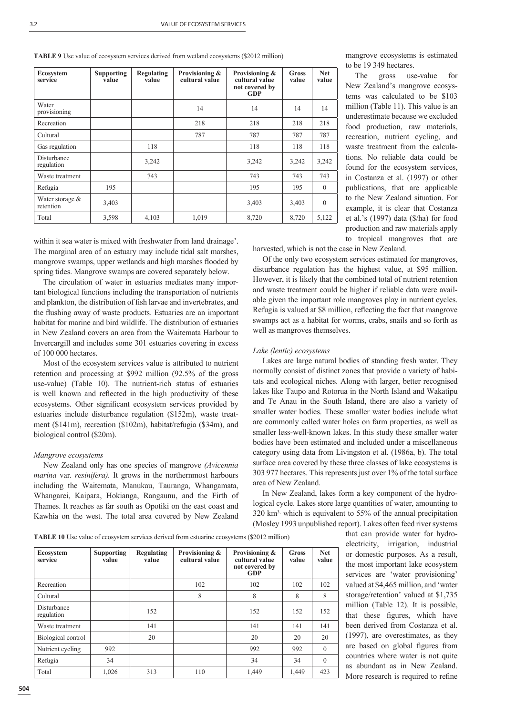**TABLE 9** Use value of ecosystem services derived from wetland ecosystems (\$2012 million)

| Ecosystem<br>service           | <b>Supporting</b><br>value | <b>Regulating</b><br>value | Provisioning &<br>cultural value | Provisioning &<br>cultural value<br>not covered by<br><b>GDP</b> | <b>Gross</b><br>value | <b>Net</b><br>value |
|--------------------------------|----------------------------|----------------------------|----------------------------------|------------------------------------------------------------------|-----------------------|---------------------|
| Water<br>provisioning          |                            |                            | 14                               | 14                                                               | 14                    | 14                  |
| Recreation                     |                            |                            | 218                              | 218                                                              | 218                   | 218                 |
| Cultural                       |                            |                            | 787                              | 787                                                              | 787                   | 787                 |
| Gas regulation                 |                            | 118                        |                                  | 118                                                              | 118                   | 118                 |
| Disturbance<br>regulation      |                            | 3,242                      |                                  | 3,242                                                            | 3,242                 | 3,242               |
| Waste treatment                |                            | 743                        |                                  | 743                                                              | 743                   | 743                 |
| Refugia                        | 195                        |                            |                                  | 195                                                              | 195                   | $\Omega$            |
| Water storage $&$<br>retention | 3,403                      |                            |                                  | 3,403                                                            | 3,403                 | $\theta$            |
| Total                          | 3,598                      | 4,103                      | 1,019                            | 8,720                                                            | 8,720                 | 5,122               |

mangrove ecosystems is estimated to be 19 349 hectares. The gross use-value for

New Zealand's mangrove ecosystems was calculated to be \$103 million (Table 11). This value is an underestimate because we excluded food production, raw materials, recreation, nutrient cycling, and waste treatment from the calculations. No reliable data could be found for the ecosystem services, in Costanza et al. (1997) or other publications, that are applicable to the New Zealand situation. For example, it is clear that Costanza et al.'s (1997) data (\$/ha) for food production and raw materials apply to tropical mangroves that are

within it sea water is mixed with freshwater from land drainage'. The marginal area of an estuary may include tidal salt marshes, mangrove swamps, upper wetlands and high marshes flooded by spring tides. Mangrove swamps are covered separately below.

The circulation of water in estuaries mediates many important biological functions including the transportation of nutrients and plankton, the distribution of fish larvae and invertebrates, and the flushing away of waste products. Estuaries are an important habitat for marine and bird wildlife. The distribution of estuaries in New Zealand covers an area from the Waitemata Harbour to Invercargill and includes some 301 estuaries covering in excess of 100 000 hectares.

Most of the ecosystem services value is attributed to nutrient retention and processing at \$992 million (92.5% of the gross use-value) (Table 10). The nutrient-rich status of estuaries is well known and reflected in the high productivity of these ecosystems. Other significant ecosystem services provided by estuaries include disturbance regulation (\$152m), waste treatment (\$141m), recreation (\$102m), habitat/refugia (\$34m), and biological control (\$20m).

## *Mangrove ecosystems*

New Zealand only has one species of mangrove *(Avicennia marina* var*. resinifera).* It grows in the northernmost harbours including the Waitemata, Manukau, Tauranga, Whangamata, Whangarei, Kaipara, Hokianga, Rangaunu, and the Firth of Thames. It reaches as far south as Opotiki on the east coast and Kawhia on the west. The total area covered by New Zealand harvested, which is not the case in New Zealand.

Of the only two ecosystem services estimated for mangroves, disturbance regulation has the highest value, at \$95 million. However, it is likely that the combined total of nutrient retention and waste treatment could be higher if reliable data were available given the important role mangroves play in nutrient cycles. Refugia is valued at \$8 million, reflecting the fact that mangrove swamps act as a habitat for worms, crabs, snails and so forth as well as mangroves themselves.

# *Lake (lentic) ecosystems*

Lakes are large natural bodies of standing fresh water. They normally consist of distinct zones that provide a variety of habitats and ecological niches. Along with larger, better recognised lakes like Taupo and Rotorua in the North Island and Wakatipu and Te Anau in the South Island, there are also a variety of smaller water bodies. These smaller water bodies include what are commonly called water holes on farm properties, as well as smaller less-well-known lakes. In this study these smaller water bodies have been estimated and included under a miscellaneous category using data from Livingston et al. (1986a, b). The total surface area covered by these three classes of lake ecosystems is 303 977 hectares. This represents just over 1% of the total surface area of New Zealand.

In New Zealand, lakes form a key component of the hydrological cycle. Lakes store large quantities of water, amounting to 320 km3, which is equivalent to 55% of the annual precipitation (Mosley 1993 unpublished report). Lakes often feed river systems

**TABLE 10** Use value of ecosystem services derived from estuarine ecosystems (\$2012 million)

**Ecosystem service Supporting value Regulating value Provisioning & cultural value Provisioning & cultural value not covered by GDP Gross value Net value** Recreation 102 102 102 102 102 Cultural | | | 8 | 8 | 8 | 8 Disturbance Production 152 152 152 152 152 152 152 152 Waste treatment 141 141 141 141 141 141 141 Biological control 20 20 20 20 Nutrient cycling 992 992 992 992 0 Refugia 34 34 34 0 Total 1,026 313 110 1,449 1,449 423

that can provide water for hydroelectricity, irrigation, industrial or domestic purposes. As a result, the most important lake ecosystem services are 'water provisioning' valued at \$4,465 million, and 'water storage/retention' valued at \$1,735 million (Table 12). It is possible, that these figures, which have been derived from Costanza et al. (1997), are overestimates, as they are based on global figures from countries where water is not quite as abundant as in New Zealand. More research is required to refine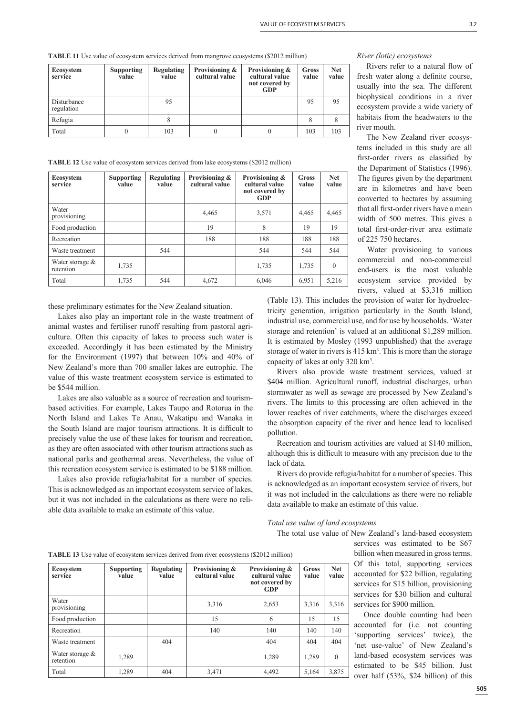**TABLE 11** Use value of ecosystem services derived from mangrove ecosystems (\$2012 million)

| Ecosystem<br>service      | <b>Supporting</b><br>value | Regulating<br>value | Provisioning &<br>cultural value | Provisioning &<br>cultural value<br>not covered by<br>GDP | Gross<br>value | <b>Net</b><br>value |
|---------------------------|----------------------------|---------------------|----------------------------------|-----------------------------------------------------------|----------------|---------------------|
| Disturbance<br>regulation |                            |                     |                                  |                                                           | 95             | 95                  |
| Refugia                   |                            |                     |                                  |                                                           |                |                     |
| Total                     |                            | 103                 |                                  |                                                           | 103            | 103                 |

**TABLE 12** Use value of ecosystem services derived from lake ecosystems (\$2012 million)

| <b>Ecosystem</b><br>service    | <b>Supporting</b><br>value | <b>Regulating</b><br>value | Provisioning &<br>cultural value | Provisioning &<br>cultural value<br>not covered by<br>GDP | Gross<br>value | <b>Net</b><br>value |
|--------------------------------|----------------------------|----------------------------|----------------------------------|-----------------------------------------------------------|----------------|---------------------|
| Water<br>provisioning          |                            |                            | 4,465                            | 3,571                                                     | 4,465          | 4,465               |
| Food production                |                            |                            | 19                               | 8                                                         | 19             | 19                  |
| Recreation                     |                            |                            | 188                              | 188                                                       | 188            | 188                 |
| Waste treatment                |                            | 544                        |                                  | 544                                                       | 544            | 544                 |
| Water storage $&$<br>retention | 1,735                      |                            |                                  | 1,735                                                     | 1,735          | $\theta$            |
| Total                          | 1,735                      | 544                        | 4,672                            | 6,046                                                     | 6,951          | 5,216               |

these preliminary estimates for the New Zealand situation.

Lakes also play an important role in the waste treatment of animal wastes and fertiliser runoff resulting from pastoral agriculture. Often this capacity of lakes to process such water is exceeded. Accordingly it has been estimated by the Ministry for the Environment (1997) that between 10% and 40% of New Zealand's more than 700 smaller lakes are eutrophic. The value of this waste treatment ecosystem service is estimated to be \$544 million.

Lakes are also valuable as a source of recreation and tourismbased activities. For example, Lakes Taupo and Rotorua in the North Island and Lakes Te Anau, Wakatipu and Wanaka in the South Island are major tourism attractions. It is difficult to precisely value the use of these lakes for tourism and recreation, as they are often associated with other tourism attractions such as national parks and geothermal areas. Nevertheless, the value of this recreation ecosystem service is estimated to be \$188 million.

Lakes also provide refugia/habitat for a number of species. This is acknowledged as an important ecosystem service of lakes, but it was not included in the calculations as there were no reliable data available to make an estimate of this value.

# *River (lotic) ecosystems*

Rivers refer to a natural flow of fresh water along a definite course, usually into the sea. The different biophysical conditions in a river ecosystem provide a wide variety of habitats from the headwaters to the river mouth.

The New Zealand river ecosystems included in this study are all first-order rivers as classified by the Department of Statistics (1996). The figures given by the department are in kilometres and have been converted to hectares by assuming that all first-order rivers have a mean width of 500 metres. This gives a total first-order-river area estimate of 225 750 hectares.

Water provisioning to various commercial and non-commercial end-users is the most valuable ecosystem service provided by rivers, valued at \$3,316 million

(Table 13). This includes the provision of water for hydroelectricity generation, irrigation particularly in the South Island, industrial use, commercial use, and for use by households. 'Water storage and retention' is valued at an additional \$1,289 million. It is estimated by Mosley (1993 unpublished) that the average storage of water in rivers is 415 km<sup>3</sup>. This is more than the storage capacity of lakes at only 320 km3 .

Rivers also provide waste treatment services, valued at \$404 million. Agricultural runoff, industrial discharges, urban stormwater as well as sewage are processed by New Zealand's rivers. The limits to this processing are often achieved in the lower reaches of river catchments, where the discharges exceed the absorption capacity of the river and hence lead to localised pollution.

Recreation and tourism activities are valued at \$140 million, although this is difficult to measure with any precision due to the lack of data.

Rivers do provide refugia/habitat for a number of species. This is acknowledged as an important ecosystem service of rivers, but it was not included in the calculations as there were no reliable data available to make an estimate of this value.

*Total use value of land ecosystems*

The total use value of New Zealand's land-based ecosystem

| services was estimated to be \$67       |
|-----------------------------------------|
| billion when measured in gross terms.   |
| Of this total, supporting services      |
| accounted for \$22 billion, regulating  |
| services for \$15 billion, provisioning |
| services for \$30 billion and cultural  |
| services for \$900 million.             |

Once double counting had been accounted for (i.e. not counting 'supporting services' twice), the 'net use-value' of New Zealand's land-based ecosystem services was estimated to be \$45 billion. Just over half (53%, \$24 billion) of this

| <b>TABLE 13</b> Use value of ecosystem services derived from river ecosystems (\$2012 million) |
|------------------------------------------------------------------------------------------------|
|------------------------------------------------------------------------------------------------|

| <b>Ecosystem</b><br>service    | <b>Supporting</b><br>value | <b>Regulating</b><br>value | Provisioning &<br>cultural value | Provisioning &<br>cultural value<br>not covered by<br>GDP | Gross<br>value | <b>Net</b><br>value |
|--------------------------------|----------------------------|----------------------------|----------------------------------|-----------------------------------------------------------|----------------|---------------------|
| Water<br>provisioning          |                            |                            | 3,316                            | 2,653                                                     | 3,316          | 3,316               |
| Food production                |                            |                            | 15                               | 6                                                         | 15             | 15                  |
| Recreation                     |                            |                            | 140                              | 140                                                       | 140            | 140                 |
| Waste treatment                |                            | 404                        |                                  | 404                                                       | 404            | 404                 |
| Water storage $&$<br>retention | 1,289                      |                            |                                  | 1,289                                                     | 1,289          | $\theta$            |
| Total                          | 1.289                      |                            | 3,471                            | 4,492                                                     | 5,164          | 3,875               |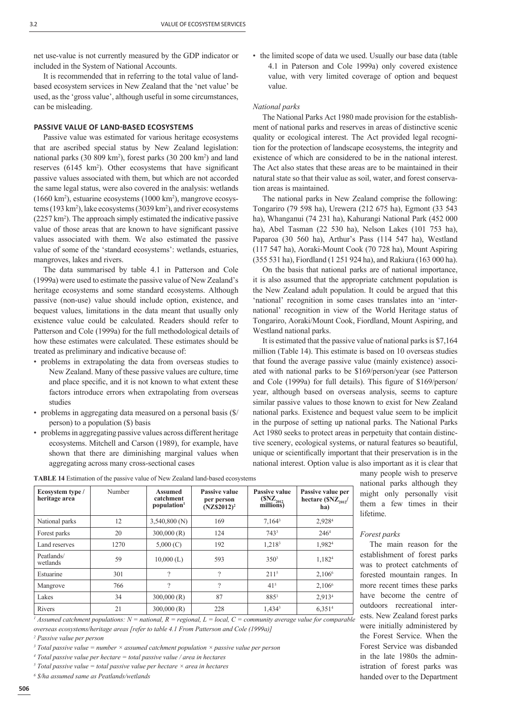net use-value is not currently measured by the GDP indicator or included in the System of National Accounts.

It is recommended that in referring to the total value of landbased ecosystem services in New Zealand that the 'net value' be used, as the 'gross value', although useful in some circumstances, can be misleading.

# **PASSIVE VALUE OF LAND-BASED ECOSYSTEMS**

Passive value was estimated for various heritage ecosystems that are ascribed special status by New Zealand legislation: national parks (30 809 km<sup>2</sup>), forest parks (30 200 km<sup>2</sup>) and land reserves  $(6145 \text{ km}^2)$ . Other ecosystems that have significant passive values associated with them, but which are not accorded the same legal status, were also covered in the analysis: wetlands (1660 km2 ), estuarine ecosystems (1000 km2 ), mangrove ecosystems (193 km2 ), lake ecosystems (3039 km2 ), and river ecosystems (2257 km2 ). The approach simply estimated the indicative passive value of those areas that are known to have significant passive values associated with them. We also estimated the passive value of some of the 'standard ecosystems': wetlands, estuaries, mangroves, lakes and rivers.

The data summarised by table 4.1 in Patterson and Cole (1999a) were used to estimate the passive value of New Zealand's heritage ecosystems and some standard ecosystems. Although passive (non-use) value should include option, existence, and bequest values, limitations in the data meant that usually only existence value could be calculated. Readers should refer to Patterson and Cole (1999a) for the full methodological details of how these estimates were calculated. These estimates should be treated as preliminary and indicative because of:

- problems in extrapolating the data from overseas studies to New Zealand. Many of these passive values are culture, time and place specific, and it is not known to what extent these factors introduce errors when extrapolating from overseas studies
- problems in aggregating data measured on a personal basis (\$/ person) to a population (\$) basis
- problems in aggregating passive values across different heritage ecosystems. Mitchell and Carson (1989), for example, have shown that there are diminishing marginal values when aggregating across many cross-sectional cases

• the limited scope of data we used. Usually our base data (table 4.1 in Paterson and Cole 1999a) only covered existence value, with very limited coverage of option and bequest value.

## *National parks*

The National Parks Act 1980 made provision for the establishment of national parks and reserves in areas of distinctive scenic quality or ecological interest. The Act provided legal recognition for the protection of landscape ecosystems, the integrity and existence of which are considered to be in the national interest. The Act also states that these areas are to be maintained in their natural state so that their value as soil, water, and forest conservation areas is maintained.

The national parks in New Zealand comprise the following: Tongariro (79 598 ha), Urewera (212 675 ha), Egmont (33 543 ha), Whanganui (74 231 ha), Kahurangi National Park (452 000 ha), Abel Tasman (22 530 ha), Nelson Lakes (101 753 ha), Paparoa (30 560 ha), Arthur's Pass (114 547 ha), Westland (117 547 ha), Aoraki-Mount Cook (70 728 ha), Mount Aspiring (355 531 ha), Fiordland (1 251 924 ha), and Rakiura (163 000 ha).

On the basis that national parks are of national importance, it is also assumed that the appropriate catchment population is the New Zealand adult population. It could be argued that this 'national' recognition in some cases translates into an 'international' recognition in view of the World Heritage status of Tongariro, Aoraki/Mount Cook, Fiordland, Mount Aspiring, and Westland national parks.

It is estimated that the passive value of national parks is \$7,164 million (Table 14). This estimate is based on 10 overseas studies that found the average passive value (mainly existence) associated with national parks to be \$169/person/year (see Patterson and Cole (1999a) for full details). This figure of \$169/person/ year, although based on overseas analysis, seems to capture similar passive values to those known to exist for New Zealand national parks. Existence and bequest value seem to be implicit in the purpose of setting up national parks. The National Parks Act 1980 seeks to protect areas in perpetuity that contain distinctive scenery, ecological systems, or natural features so beautiful, unique or scientifically important that their preservation is in the national interest. Option value is also important as it is clear that

many people wish to preserve national parks although they might only personally visit them a few times in their lifetime.

### *Forest parks*

The main reason for the establishment of forest parks was to protect catchments of forested mountain ranges. In more recent times these parks have become the centre of outdoors recreational interests. New Zealand forest parks were initially administered by the Forest Service. When the Forest Service was disbanded in the late 1980s the administration of forest parks was handed over to the Department

| TABLE 14 Estimation of the passive value of New Zealand land-based ecosystems |        |         |                      |        |
|-------------------------------------------------------------------------------|--------|---------|----------------------|--------|
| Ecosystem type /                                                              | Number | Assumed | <b>Passive value</b> | $\Box$ |

*1 Assumed catchment populations: N = national, R = regional, L = local, C = community average value for comparable overseas ecosystems/heritage areas [refer to table 4.1 From Patterson and Cole (1999a)]*

*2 Passive value per person*

- *3 Total passive value = number × assumed catchment population × passive value per person*
- *4 Total passive value per hectare = total passive value / area in hectares*
- $<sup>5</sup>$  Total passive value = total passive value per hectare  $\times$  area in hectares</sup>
- *6 \$/ha assumed same as Peatlands/wetlands*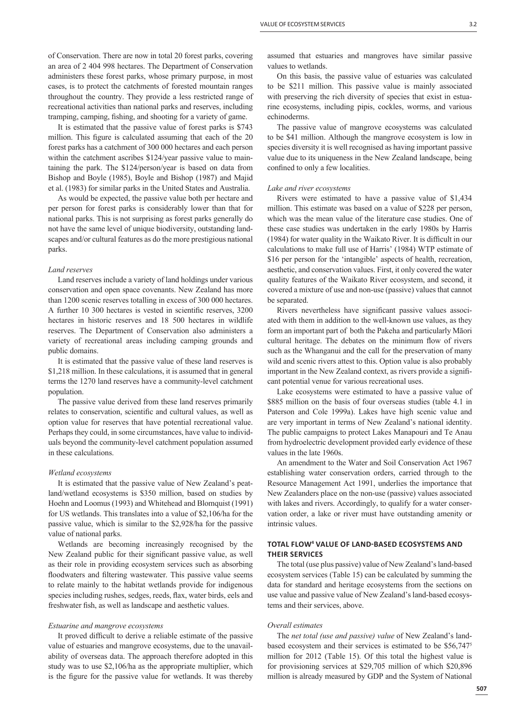of Conservation. There are now in total 20 forest parks, covering an area of 2 404 998 hectares. The Department of Conservation administers these forest parks, whose primary purpose, in most cases, is to protect the catchments of forested mountain ranges throughout the country. They provide a less restricted range of recreational activities than national parks and reserves, including tramping, camping, fishing, and shooting for a variety of game.

It is estimated that the passive value of forest parks is \$743 million. This figure is calculated assuming that each of the 20 forest parks has a catchment of 300 000 hectares and each person within the catchment ascribes \$124/year passive value to maintaining the park. The \$124/person/year is based on data from Bishop and Boyle (1985), Boyle and Bishop (1987) and Majid et al. (1983) for similar parks in the United States and Australia.

As would be expected, the passive value both per hectare and per person for forest parks is considerably lower than that for national parks. This is not surprising as forest parks generally do not have the same level of unique biodiversity, outstanding landscapes and/or cultural features as do the more prestigious national parks.

## *Land reserves*

Land reserves include a variety of land holdings under various conservation and open space covenants. New Zealand has more than 1200 scenic reserves totalling in excess of 300 000 hectares. A further 10 300 hectares is vested in scientific reserves, 3200 hectares in historic reserves and 18 500 hectares in wildlife reserves. The Department of Conservation also administers a variety of recreational areas including camping grounds and public domains.

It is estimated that the passive value of these land reserves is \$1,218 million. In these calculations, it is assumed that in general terms the 1270 land reserves have a community-level catchment population.

The passive value derived from these land reserves primarily relates to conservation, scientific and cultural values, as well as option value for reserves that have potential recreational value. Perhaps they could, in some circumstances, have value to individuals beyond the community-level catchment population assumed in these calculations.

### *Wetland ecosystems*

It is estimated that the passive value of New Zealand's peatland/wetland ecosystems is \$350 million, based on studies by Hoehn and Loomus (1993) and Whitehead and Blomquist (1991) for US wetlands. This translates into a value of \$2,106/ha for the passive value, which is similar to the \$2,928/ha for the passive value of national parks.

Wetlands are becoming increasingly recognised by the New Zealand public for their significant passive value, as well as their role in providing ecosystem services such as absorbing floodwaters and filtering wastewater. This passive value seems to relate mainly to the habitat wetlands provide for indigenous species including rushes, sedges, reeds, flax, water birds, eels and freshwater fish, as well as landscape and aesthetic values.

#### *Estuarine and mangrove ecosystems*

It proved difficult to derive a reliable estimate of the passive value of estuaries and mangrove ecosystems, due to the unavailability of overseas data. The approach therefore adopted in this study was to use \$2,106/ha as the appropriate multiplier, which is the figure for the passive value for wetlands. It was thereby assumed that estuaries and mangroves have similar passive values to wetlands.

On this basis, the passive value of estuaries was calculated to be \$211 million. This passive value is mainly associated with preserving the rich diversity of species that exist in estuarine ecosystems, including pipis, cockles, worms, and various echinoderms.

The passive value of mangrove ecosystems was calculated to be \$41 million. Although the mangrove ecosystem is low in species diversity it is well recognised as having important passive value due to its uniqueness in the New Zealand landscape, being confined to only a few localities.

#### *Lake and river ecosystems*

Rivers were estimated to have a passive value of \$1,434 million. This estimate was based on a value of \$228 per person, which was the mean value of the literature case studies. One of these case studies was undertaken in the early 1980s by Harris (1984) for water quality in the Waikato River. It is difficult in our calculations to make full use of Harris' (1984) WTP estimate of \$16 per person for the 'intangible' aspects of health, recreation, aesthetic, and conservation values. First, it only covered the water quality features of the Waikato River ecosystem, and second, it covered a mixture of use and non-use (passive) values that cannot be separated.

Rivers nevertheless have significant passive values associated with them in addition to the well-known use values, as they form an important part of both the Pakeha and particularly Māori cultural heritage. The debates on the minimum flow of rivers such as the Whanganui and the call for the preservation of many wild and scenic rivers attest to this. Option value is also probably important in the New Zealand context, as rivers provide a significant potential venue for various recreational uses.

Lake ecosystems were estimated to have a passive value of \$885 million on the basis of four overseas studies (table 4.1 in Paterson and Cole 1999a). Lakes have high scenic value and are very important in terms of New Zealand's national identity. The public campaigns to protect Lakes Manapouri and Te Anau from hydroelectric development provided early evidence of these values in the late 1960s.

An amendment to the Water and Soil Conservation Act 1967 establishing water conservation orders, carried through to the Resource Management Act 1991, underlies the importance that New Zealanders place on the non-use (passive) values associated with lakes and rivers. Accordingly, to qualify for a water conservation order, a lake or river must have outstanding amenity or intrinsic values.

## **TOTAL FLOW<sup>4</sup> VALUE OF LAND-BASED ECOSYSTEMS AND THEIR SERVICES**

The total (use plus passive) value of New Zealand's land-based ecosystem services (Table 15) can be calculated by summing the data for standard and heritage ecosystems from the sections on use value and passive value of New Zealand's land-based ecosystems and their services, above.

#### *Overall estimates*

The *net total (use and passive) value* of New Zealand's landbased ecosystem and their services is estimated to be \$56,7475 million for 2012 (Table 15). Of this total the highest value is for provisioning services at \$29,705 million of which \$20,896 million is already measured by GDP and the System of National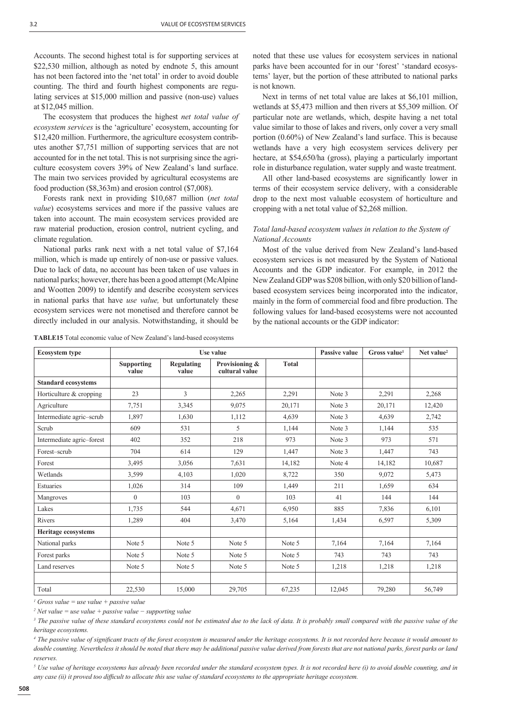Accounts. The second highest total is for supporting services at \$22,530 million, although as noted by endnote 5, this amount has not been factored into the 'net total' in order to avoid double counting. The third and fourth highest components are regulating services at \$15,000 million and passive (non-use) values at \$12,045 million.

The ecosystem that produces the highest *net total value of ecosystem services* is the 'agriculture' ecosystem, accounting for \$12,420 million. Furthermore, the agriculture ecosystem contributes another \$7,751 million of supporting services that are not accounted for in the net total. This is not surprising since the agriculture ecosystem covers 39% of New Zealand's land surface. The main two services provided by agricultural ecosystems are food production (\$8,363m) and erosion control (\$7,008).

Forests rank next in providing \$10,687 million (*net total value*) ecosystems services and more if the passive values are taken into account. The main ecosystem services provided are raw material production, erosion control, nutrient cycling, and climate regulation.

National parks rank next with a net total value of \$7,164 million, which is made up entirely of non-use or passive values. Due to lack of data, no account has been taken of use values in national parks; however, there has been a good attempt (McAlpine and Wootten 2009) to identify and describe ecosystem services in national parks that have *use value,* but unfortunately these ecosystem services were not monetised and therefore cannot be directly included in our analysis. Notwithstanding, it should be

**TABLE15** Total economic value of New Zealand's land-based ecosystems

noted that these use values for ecosystem services in national parks have been accounted for in our 'forest' 'standard ecosystems' layer, but the portion of these attributed to national parks is not known.

Next in terms of net total value are lakes at \$6,101 million, wetlands at \$5,473 million and then rivers at \$5,309 million. Of particular note are wetlands, which, despite having a net total value similar to those of lakes and rivers, only cover a very small portion (0.60%) of New Zealand's land surface. This is because wetlands have a very high ecosystem services delivery per hectare, at \$54,650/ha (gross), playing a particularly important role in disturbance regulation, water supply and waste treatment.

All other land-based ecosystems are significantly lower in terms of their ecosystem service delivery, with a considerable drop to the next most valuable ecosystem of horticulture and cropping with a net total value of \$2,268 million.

# *Total land-based ecosystem values in relation to the System of National Accounts*

Most of the value derived from New Zealand's land-based ecosystem services is not measured by the System of National Accounts and the GDP indicator. For example, in 2012 the New Zealand GDP was \$208 billion, with only \$20 billion of landbased ecosystem services being incorporated into the indicator, mainly in the form of commercial food and fibre production. The following values for land-based ecosystems were not accounted by the national accounts or the GDP indicator:

| <b>Ecosystem type</b>               | Use value                  |                            |                                  | <b>Passive value</b> | $G$ ross value <sup>1</sup> | Net value <sup>2</sup> |        |
|-------------------------------------|----------------------------|----------------------------|----------------------------------|----------------------|-----------------------------|------------------------|--------|
|                                     | <b>Supporting</b><br>value | <b>Regulating</b><br>value | Provisioning &<br>cultural value | <b>Total</b>         |                             |                        |        |
| <b>Standard ecosystems</b>          |                            |                            |                                  |                      |                             |                        |        |
| Horticulture & cropping             | 23                         | $\overline{3}$             | 2,265                            | 2,291                | Note 3                      | 2,291                  | 2,268  |
| Agriculture                         | 7,751                      | 3,345                      | 9,075                            | 20,171               | Note 3                      | 20,171                 | 12,420 |
| Intermediate agric-scrub            | 1,897                      | 1,630                      | 1,112                            | 4,639                | Note 3                      | 4,639                  | 2,742  |
| Scrub                               | 609                        | 531                        | 5                                | 1,144                | Note 3                      | 1,144                  | 535    |
| Intermediate agric-forest           | 402                        | 352                        | 218                              | 973                  | Note 3                      | 973                    | 571    |
| Forest-scrub                        | 704                        | 614                        | 129                              | 1,447                | Note 3                      | 1,447                  | 743    |
| Forest                              | 3,495                      | 3,056                      | 7,631                            | 14,182               | Note 4                      | 14,182                 | 10,687 |
| Wetlands                            | 3,599                      | 4,103                      | 1,020                            | 8,722                | 350                         | 9.072                  | 5,473  |
| Estuaries                           | 1,026                      | 314                        | 109                              | 1,449                | 211                         | 1,659                  | 634    |
| Mangroves                           | $\theta$                   | 103                        | $\overline{0}$                   | 103                  | 41                          | 144                    | 144    |
| Lakes                               | 1,735                      | 544                        | 4,671                            | 6,950                | 885                         | 7,836                  | 6,101  |
| Rivers                              | 1,289                      | 404                        | 3,470                            | 5,164                | 1,434                       | 6,597                  | 5,309  |
| <b>Heritage ecosystems</b>          |                            |                            |                                  |                      |                             |                        |        |
| National parks                      | Note 5                     | Note 5                     | Note 5                           | Note 5               | 7,164                       | 7,164                  | 7,164  |
| Forest parks                        | Note 5                     | Note 5                     | Note 5                           | Note 5               | 743                         | 743                    | 743    |
| Land reserves                       | Note 5                     | Note 5                     | Note 5                           | Note 5               | 1,218                       | 1,218                  | 1,218  |
|                                     |                            |                            |                                  |                      |                             |                        |        |
| Total<br>$\sim$<br>$\sim$<br>$\sim$ | 22,530                     | 15,000                     | 29,705                           | 67,235               | 12,045                      | 79,280                 | 56,749 |

*1 Gross value = use value + passive value*

*2 Net value = use value + passive value − supporting value*

<sup>3</sup> The passive value of these standard ecosystems could not be estimated due to the lack of data. It is probably small compared with the passive value of the *heritage ecosystems.*

<sup>4</sup> The passive value of significant tracts of the forest ecosystem is measured under the heritage ecosystems. It is not recorded here because it would amount to double counting. Nevertheless it should be noted that there may be additional passive value derived from forests that are not national parks, forest parks or land *reserves.*

<sup>5</sup> Use value of heritage ecosystems has already been recorded under the standard ecosystem types. It is not recorded here (i) to avoid double counting, and in any case (ii) it proved too difficult to allocate this use value of standard ecosystems to the appropriate heritage ecosystem.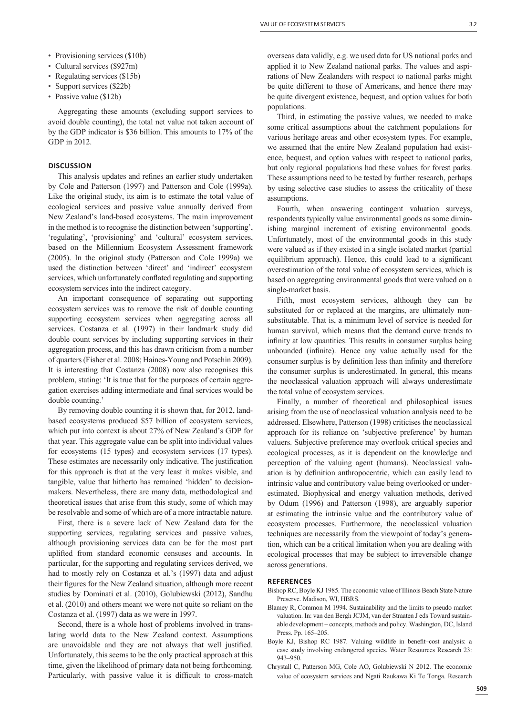- Provisioning services (\$10b)
- Cultural services (\$927m)
- Regulating services (\$15b)
- Support services (\$22b)
- Passive value (\$12b)

Aggregating these amounts (excluding support services to avoid double counting), the total net value not taken account of by the GDP indicator is \$36 billion. This amounts to 17% of the GDP in 2012.

# **DISCUSSION**

This analysis updates and refines an earlier study undertaken by Cole and Patterson (1997) and Patterson and Cole (1999a). Like the original study, its aim is to estimate the total value of ecological services and passive value annually derived from New Zealand's land-based ecosystems. The main improvement in the method is to recognise the distinction between 'supporting', 'regulating', 'provisioning' and 'cultural' ecosystem services, based on the Millennium Ecosystem Assessment framework (2005). In the original study (Patterson and Cole 1999a) we used the distinction between 'direct' and 'indirect' ecosystem services, which unfortunately conflated regulating and supporting ecosystem services into the indirect category.

An important consequence of separating out supporting ecosystem services was to remove the risk of double counting supporting ecosystem services when aggregating across all services. Costanza et al. (1997) in their landmark study did double count services by including supporting services in their aggregation process, and this has drawn criticism from a number of quarters (Fisher et al. 2008; Haines-Young and Potschin 2009). It is interesting that Costanza (2008) now also recognises this problem, stating: 'It is true that for the purposes of certain aggregation exercises adding intermediate and final services would be double counting.'

By removing double counting it is shown that, for 2012, landbased ecosystems produced \$57 billion of ecosystem services, which put into context is about 27% of New Zealand's GDP for that year. This aggregate value can be split into individual values for ecosystems (15 types) and ecosystem services (17 types). These estimates are necessarily only indicative. The justification for this approach is that at the very least it makes visible, and tangible, value that hitherto has remained 'hidden' to decisionmakers. Nevertheless, there are many data, methodological and theoretical issues that arise from this study, some of which may be resolvable and some of which are of a more intractable nature.

First, there is a severe lack of New Zealand data for the supporting services, regulating services and passive values, although provisioning services data can be for the most part uplifted from standard economic censuses and accounts. In particular, for the supporting and regulating services derived, we had to mostly rely on Costanza et al.'s (1997) data and adjust their figures for the New Zealand situation, although more recent studies by Dominati et al. (2010), Golubiewski (2012), Sandhu et al. (2010) and others meant we were not quite so reliant on the Costanza et al. (1997) data as we were in 1997.

Second, there is a whole host of problems involved in translating world data to the New Zealand context. Assumptions are unavoidable and they are not always that well justified. Unfortunately, this seems to be the only practical approach at this time, given the likelihood of primary data not being forthcoming. Particularly, with passive value it is difficult to cross-match

overseas data validly, e.g. we used data for US national parks and applied it to New Zealand national parks. The values and aspirations of New Zealanders with respect to national parks might be quite different to those of Americans, and hence there may be quite divergent existence, bequest, and option values for both populations.

Third, in estimating the passive values, we needed to make some critical assumptions about the catchment populations for various heritage areas and other ecosystem types. For example, we assumed that the entire New Zealand population had existence, bequest, and option values with respect to national parks, but only regional populations had these values for forest parks. These assumptions need to be tested by further research, perhaps by using selective case studies to assess the criticality of these assumptions.

Fourth, when answering contingent valuation surveys, respondents typically value environmental goods as some diminishing marginal increment of existing environmental goods. Unfortunately, most of the environmental goods in this study were valued as if they existed in a single isolated market (partial equilibrium approach). Hence, this could lead to a significant overestimation of the total value of ecosystem services, which is based on aggregating environmental goods that were valued on a single-market basis.

Fifth, most ecosystem services, although they can be substituted for or replaced at the margins, are ultimately nonsubstitutable. That is, a minimum level of service is needed for human survival, which means that the demand curve trends to infinity at low quantities. This results in consumer surplus being unbounded (infinite). Hence any value actually used for the consumer surplus is by definition less than infinity and therefore the consumer surplus is underestimated. In general, this means the neoclassical valuation approach will always underestimate the total value of ecosystem services.

Finally, a number of theoretical and philosophical issues arising from the use of neoclassical valuation analysis need to be addressed. Elsewhere, Patterson (1998) criticises the neoclassical approach for its reliance on 'subjective preference' by human valuers. Subjective preference may overlook critical species and ecological processes, as it is dependent on the knowledge and perception of the valuing agent (humans). Neoclassical valuation is by definition anthropocentric, which can easily lead to intrinsic value and contributory value being overlooked or underestimated. Biophysical and energy valuation methods, derived by Odum (1996) and Patterson (1998), are arguably superior at estimating the intrinsic value and the contributory value of ecosystem processes. Furthermore, the neoclassical valuation techniques are necessarily from the viewpoint of today's generation, which can be a critical limitation when you are dealing with ecological processes that may be subject to irreversible change across generations.

## **REFERENCES**

- Bishop RC, Boyle KJ 1985. The economic value of Illinois Beach State Nature Preserve. Madison, WI, HBRS.
- Blamey R, Common M 1994. Sustainability and the limits to pseudo market valuation. In: van den Bergh JCJM, van der Straaten J eds Toward sustainable development – concepts, methods and policy. Washington, DC, Island Press. Pp. 165–205.
- Boyle KJ, Bishop RC 1987. Valuing wildlife in benefit-cost analysis: a case study involving endangered species. Water Resources Research 23: 943–950.
- Chrystall C, Patterson MG, Cole AO, Golubiewski N 2012. The economic value of ecosystem services and Ngati Raukawa Ki Te Tonga. Research